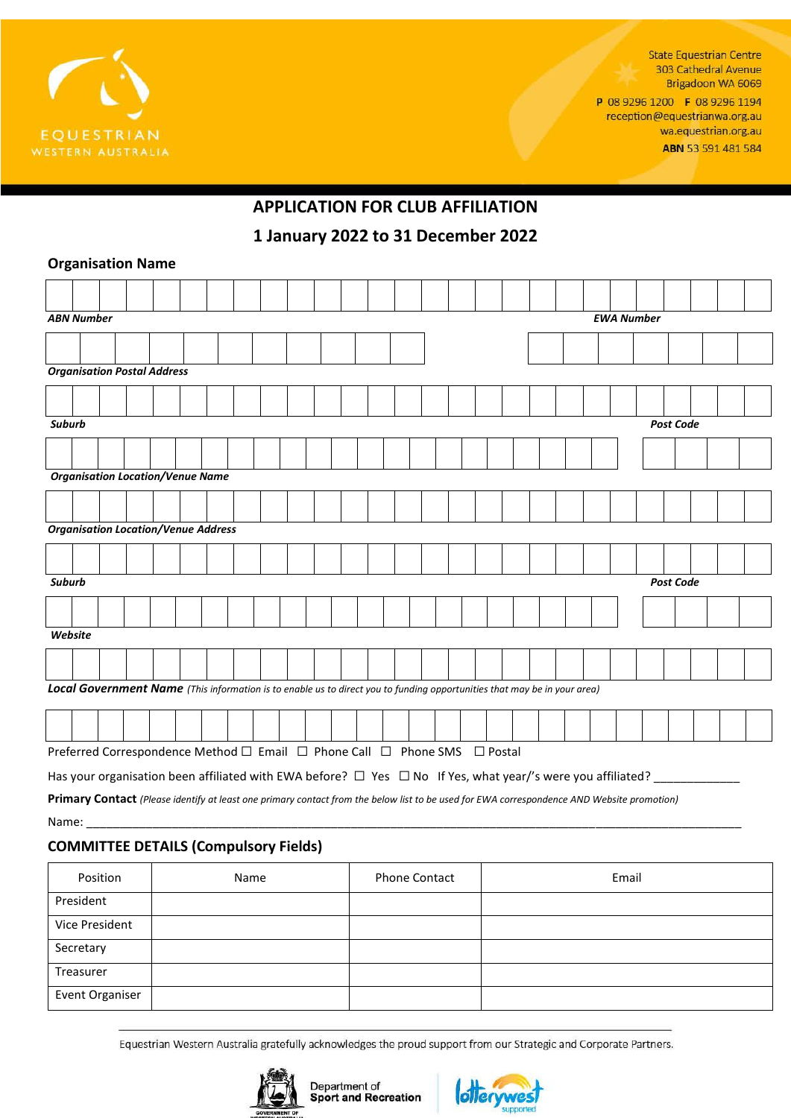

**State Equestrian Centre** 303 Cathedral Avenue Brigadoon WA 6069

P 08 9296 1200 F 08 9296 1194 reception@equestrianwa.org.au wa.equestrian.org.au ABN 53 591 481 584

# **APPLICATION FOR CLUB AFFILIATION**

**1 January 2022 to 31 December 2022**

### **Organisation Name**

|                                   |                                                                                                                          | <b>ABN Number</b>                  |  |  |  |                                                                           |  |  |  |  |  |  |  |  |  |  |  |  |  |  | <b>EWA Number</b> |                  |  |  |
|-----------------------------------|--------------------------------------------------------------------------------------------------------------------------|------------------------------------|--|--|--|---------------------------------------------------------------------------|--|--|--|--|--|--|--|--|--|--|--|--|--|--|-------------------|------------------|--|--|
|                                   |                                                                                                                          |                                    |  |  |  |                                                                           |  |  |  |  |  |  |  |  |  |  |  |  |  |  |                   |                  |  |  |
|                                   |                                                                                                                          | <b>Organisation Postal Address</b> |  |  |  |                                                                           |  |  |  |  |  |  |  |  |  |  |  |  |  |  |                   |                  |  |  |
|                                   |                                                                                                                          |                                    |  |  |  |                                                                           |  |  |  |  |  |  |  |  |  |  |  |  |  |  |                   |                  |  |  |
| <b>Post Code</b><br><b>Suburb</b> |                                                                                                                          |                                    |  |  |  |                                                                           |  |  |  |  |  |  |  |  |  |  |  |  |  |  |                   |                  |  |  |
|                                   |                                                                                                                          |                                    |  |  |  |                                                                           |  |  |  |  |  |  |  |  |  |  |  |  |  |  |                   |                  |  |  |
|                                   | <b>Organisation Location/Venue Name</b>                                                                                  |                                    |  |  |  |                                                                           |  |  |  |  |  |  |  |  |  |  |  |  |  |  |                   |                  |  |  |
|                                   |                                                                                                                          |                                    |  |  |  |                                                                           |  |  |  |  |  |  |  |  |  |  |  |  |  |  |                   |                  |  |  |
|                                   |                                                                                                                          |                                    |  |  |  | <b>Organisation Location/Venue Address</b>                                |  |  |  |  |  |  |  |  |  |  |  |  |  |  |                   |                  |  |  |
|                                   |                                                                                                                          |                                    |  |  |  |                                                                           |  |  |  |  |  |  |  |  |  |  |  |  |  |  |                   |                  |  |  |
| Suburb                            |                                                                                                                          |                                    |  |  |  |                                                                           |  |  |  |  |  |  |  |  |  |  |  |  |  |  |                   | <b>Post Code</b> |  |  |
|                                   |                                                                                                                          |                                    |  |  |  |                                                                           |  |  |  |  |  |  |  |  |  |  |  |  |  |  |                   |                  |  |  |
| Website                           |                                                                                                                          |                                    |  |  |  |                                                                           |  |  |  |  |  |  |  |  |  |  |  |  |  |  |                   |                  |  |  |
|                                   |                                                                                                                          |                                    |  |  |  |                                                                           |  |  |  |  |  |  |  |  |  |  |  |  |  |  |                   |                  |  |  |
|                                   | Local Government Name (This information is to enable us to direct you to funding opportunities that may be in your area) |                                    |  |  |  |                                                                           |  |  |  |  |  |  |  |  |  |  |  |  |  |  |                   |                  |  |  |
|                                   |                                                                                                                          |                                    |  |  |  |                                                                           |  |  |  |  |  |  |  |  |  |  |  |  |  |  |                   |                  |  |  |
|                                   |                                                                                                                          |                                    |  |  |  | Preferred Correspondence Method □ Email □ Phone Call □ Phone SMS □ Postal |  |  |  |  |  |  |  |  |  |  |  |  |  |  |                   |                  |  |  |
|                                   | Has your organisation been affiliated with EWA before? $\Box$ Yes $\Box$ No If Yes, what year/'s were you affiliated?    |                                    |  |  |  |                                                                           |  |  |  |  |  |  |  |  |  |  |  |  |  |  |                   |                  |  |  |

**Primary Contact** *(Please identify at least one primary contact from the below list to be used for EWA correspondence AND Website promotion)* Name: \_\_\_\_\_\_\_\_\_\_\_\_\_\_\_\_\_\_\_\_\_\_\_\_\_\_\_\_\_\_\_\_\_\_\_\_\_\_\_\_\_\_\_\_\_\_\_\_\_\_\_\_\_\_\_\_\_\_\_\_\_\_\_\_\_\_\_\_\_\_\_\_\_\_\_\_\_\_\_\_\_\_\_\_\_\_\_\_\_\_\_\_\_\_\_\_\_\_\_

### **COMMITTEE DETAILS (Compulsory Fields)**

| Position        | Name | <b>Phone Contact</b> | Email |
|-----------------|------|----------------------|-------|
| President       |      |                      |       |
| Vice President  |      |                      |       |
| Secretary       |      |                      |       |
| Treasurer       |      |                      |       |
| Event Organiser |      |                      |       |

Equestrian Western Australia gratefully acknowledges the proud support from our Strategic and Corporate Partners.



**Department of<br>Sport and Recreation**